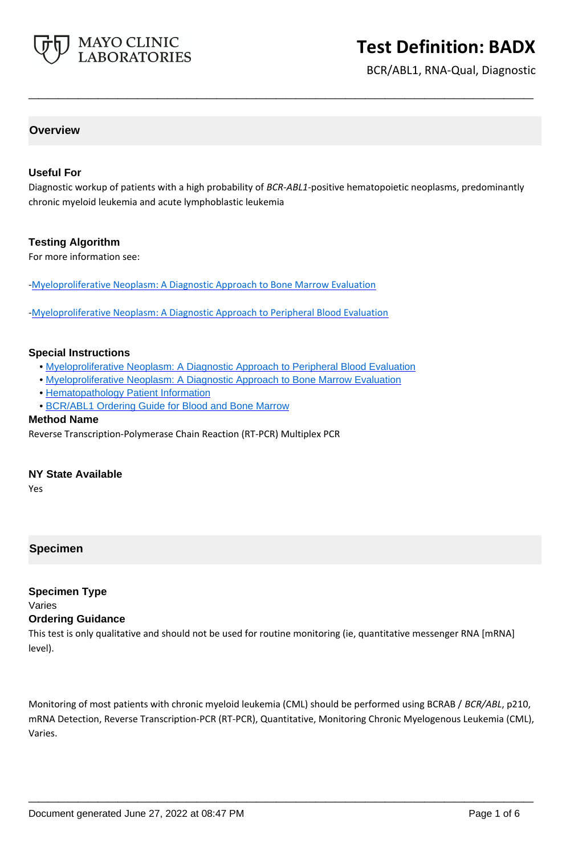

BCR/ABL1, RNA-Qual, Diagnostic

## **Overview**

#### **Useful For**

Diagnostic workup of patients with a high probability of *BCR-ABL1*-positive hematopoietic neoplasms, predominantly chronic myeloid leukemia and acute lymphoblastic leukemia

**\_\_\_\_\_\_\_\_\_\_\_\_\_\_\_\_\_\_\_\_\_\_\_\_\_\_\_\_\_\_\_\_\_\_\_\_\_\_\_\_\_\_\_\_\_\_\_\_\_\_\_**

#### **Testing Algorithm**

For more information see:

[-Myeloproliferative Neoplasm: A Diagnostic Approach to Bone Marrow Evaluation](https://www.mayocliniclabs.com/it-mmfiles/Myeloproliferative_Neoplasm_A_Diagnostic_Approach_to_Bone_Marrow_Evaluation.pdf)

[-Myeloproliferative Neoplasm: A Diagnostic Approach to Peripheral Blood Evaluation](https://www.mayocliniclabs.com/it-mmfiles/Myeloproliferative_Neoplasm_A_Diagnostic_Approach_to_Peripheral_Blood_Evaluation.pdf)

#### **Special Instructions**

- • [Myeloproliferative Neoplasm: A Diagnostic Approach to Peripheral Blood Evaluation](http://www.mayocliniclabs.com/it-mmfiles/Myeloproliferative_Neoplasm_A_Diagnostic_Approach_to_Peripheral_Blood_Evaluation.pdf)
- • [Myeloproliferative Neoplasm: A Diagnostic Approach to Bone Marrow Evaluation](http://www.mayocliniclabs.com/it-mmfiles/Myeloproliferative_Neoplasm_A_Diagnostic_Approach_to_Bone_Marrow_Evaluation.pdf)
- • [Hematopathology Patient Information](http://www.mayocliniclabs.com/it-mmfiles/Hematopathology_Patient_Information_Sheet.pdf)
- • [BCR/ABL1 Ordering Guide for Blood and Bone Marrow](https://www.mayocliniclabs.com/it-mmfiles/BCR-ABL1_Ordering_Guide_For_Blood_and_Bone_Marrow.pdf)

#### **Method Name**

Reverse Transcription-Polymerase Chain Reaction (RT-PCR) Multiplex PCR

#### **NY State Available**

Yes

## **Specimen**

## **Specimen Type**

Varies

#### **Ordering Guidance**

This test is only qualitative and should not be used for routine monitoring (ie, quantitative messenger RNA [mRNA] level).

Monitoring of most patients with chronic myeloid leukemia (CML) should be performed using BCRAB / *BCR/ABL*, p210, mRNA Detection, Reverse Transcription-PCR (RT-PCR), Quantitative, Monitoring Chronic Myelogenous Leukemia (CML), Varies.

**\_\_\_\_\_\_\_\_\_\_\_\_\_\_\_\_\_\_\_\_\_\_\_\_\_\_\_\_\_\_\_\_\_\_\_\_\_\_\_\_\_\_\_\_\_\_\_\_\_\_\_**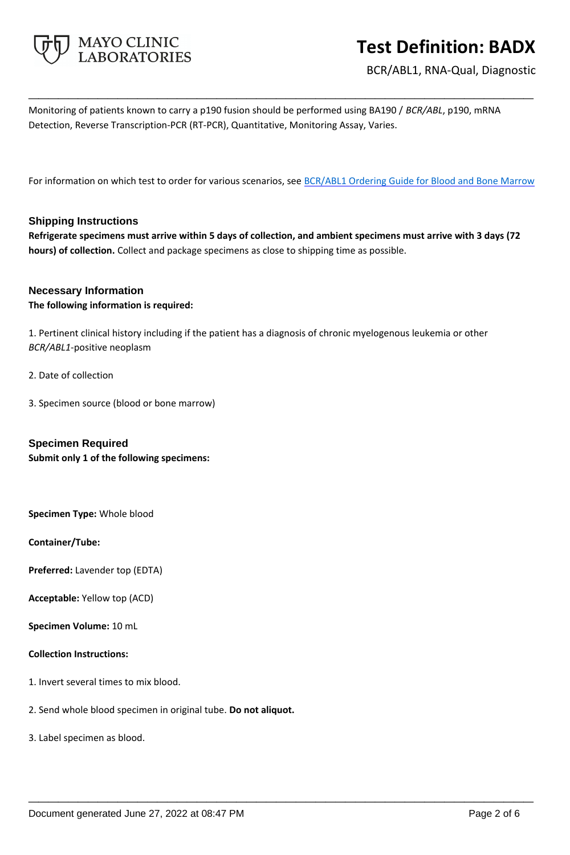

BCR/ABL1, RNA-Qual, Diagnostic

Monitoring of patients known to carry a p190 fusion should be performed using BA190 / *BCR/ABL*, p190, mRNA Detection, Reverse Transcription-PCR (RT-PCR), Quantitative, Monitoring Assay, Varies.

For information on which test to order for various scenarios, see **BCR/ABL1** Ordering Guide for Blood and Bone Marrow

**\_\_\_\_\_\_\_\_\_\_\_\_\_\_\_\_\_\_\_\_\_\_\_\_\_\_\_\_\_\_\_\_\_\_\_\_\_\_\_\_\_\_\_\_\_\_\_\_\_\_\_**

#### **Shipping Instructions**

**Refrigerate specimens must arrive within 5 days of collection, and ambient specimens must arrive with 3 days (72 hours) of collection.** Collect and package specimens as close to shipping time as possible.

#### **Necessary Information**

#### **The following information is required:**

1. Pertinent clinical history including if the patient has a diagnosis of chronic myelogenous leukemia or other *BCR/ABL1*-positive neoplasm

**\_\_\_\_\_\_\_\_\_\_\_\_\_\_\_\_\_\_\_\_\_\_\_\_\_\_\_\_\_\_\_\_\_\_\_\_\_\_\_\_\_\_\_\_\_\_\_\_\_\_\_**

- 2. Date of collection
- 3. Specimen source (blood or bone marrow)

## **Specimen Required Submit only 1 of the following specimens:**

**Specimen Type:** Whole blood

#### **Container/Tube:**

- **Preferred:** Lavender top (EDTA)
- **Acceptable:** Yellow top (ACD)
- **Specimen Volume:** 10 mL

#### **Collection Instructions:**

- 1. Invert several times to mix blood.
- 2. Send whole blood specimen in original tube. **Do not aliquot.**
- 3. Label specimen as blood.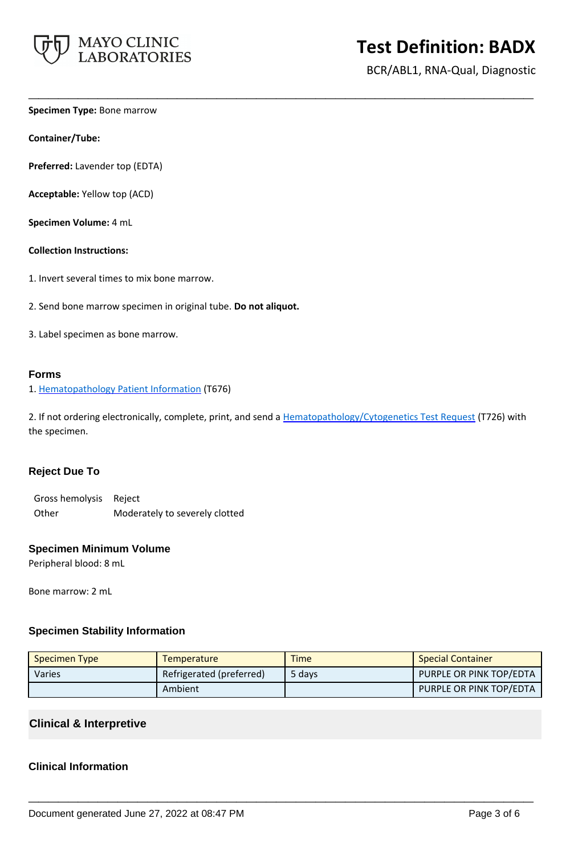

BCR/ABL1, RNA-Qual, Diagnostic

**Specimen Type:** Bone marrow

**Container/Tube:**

**Preferred:** Lavender top (EDTA)

**Acceptable:** Yellow top (ACD)

**Specimen Volume:** 4 mL

**Collection Instructions:**

- 1. Invert several times to mix bone marrow.
- 2. Send bone marrow specimen in original tube. **Do not aliquot.**
- 3. Label specimen as bone marrow.

#### **Forms**

1. [Hematopathology Patient Information](https://www.mayocliniclabs.com/it-mmfiles/Hematopathology_Patient_Information_Sheet.pdf) (T676)

2. If not ordering electronically, complete, print, and send a [Hematopathology/Cytogenetics Test Request](https://www.mayocliniclabs.com/it-mmfiles/hematopathology-request-form.pdf) (T726) with the specimen.

**\_\_\_\_\_\_\_\_\_\_\_\_\_\_\_\_\_\_\_\_\_\_\_\_\_\_\_\_\_\_\_\_\_\_\_\_\_\_\_\_\_\_\_\_\_\_\_\_\_\_\_**

#### **Reject Due To**

Gross hemolysis Reject Other Moderately to severely clotted

#### **Specimen Minimum Volume**

Peripheral blood: 8 mL

Bone marrow: 2 mL

## **Specimen Stability Information**

| <b>Specimen Type</b> | <b>Temperature</b>       | <b>Time</b> | <b>Special Container</b> |
|----------------------|--------------------------|-------------|--------------------------|
| <b>Varies</b>        | Refrigerated (preferred) | 5 days      | PURPLE OR PINK TOP/EDTA  |
|                      | Ambient                  |             | PURPLE OR PINK TOP/EDTA  |

**\_\_\_\_\_\_\_\_\_\_\_\_\_\_\_\_\_\_\_\_\_\_\_\_\_\_\_\_\_\_\_\_\_\_\_\_\_\_\_\_\_\_\_\_\_\_\_\_\_\_\_**

## **Clinical & Interpretive**

## **Clinical Information**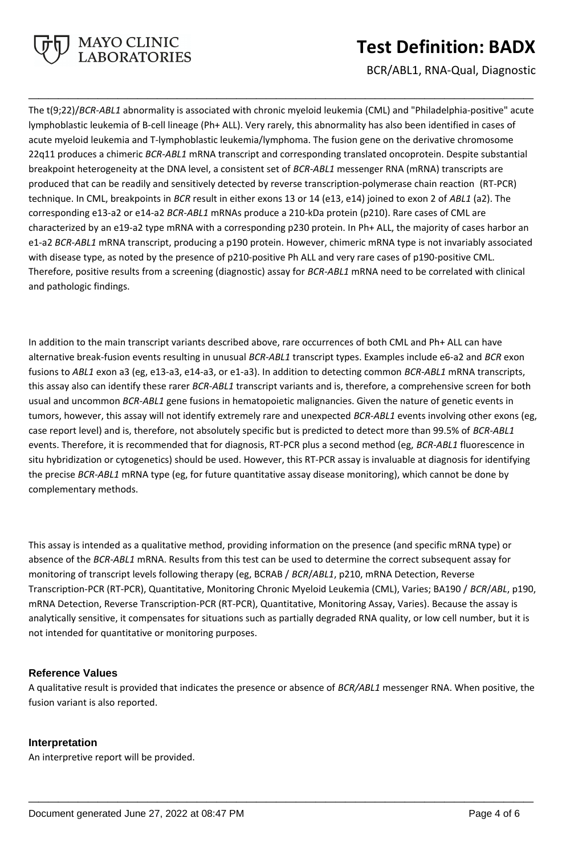

BCR/ABL1, RNA-Qual, Diagnostic

The t(9;22)/*BCR-ABL1* abnormality is associated with chronic myeloid leukemia (CML) and "Philadelphia-positive" acute lymphoblastic leukemia of B-cell lineage (Ph+ ALL). Very rarely, this abnormality has also been identified in cases of acute myeloid leukemia and T-lymphoblastic leukemia/lymphoma. The fusion gene on the derivative chromosome 22q11 produces a chimeric *BCR-ABL1* mRNA transcript and corresponding translated oncoprotein. Despite substantial breakpoint heterogeneity at the DNA level, a consistent set of *BCR-ABL1* messenger RNA (mRNA) transcripts are produced that can be readily and sensitively detected by reverse transcription-polymerase chain reaction (RT-PCR) technique. In CML, breakpoints in *BCR* result in either exons 13 or 14 (e13, e14) joined to exon 2 of *ABL1* (a2). The corresponding e13-a2 or e14-a2 *BCR-ABL1* mRNAs produce a 210-kDa protein (p210). Rare cases of CML are characterized by an e19-a2 type mRNA with a corresponding p230 protein. In Ph+ ALL, the majority of cases harbor an e1-a2 *BCR-ABL1* mRNA transcript, producing a p190 protein. However, chimeric mRNA type is not invariably associated with disease type, as noted by the presence of p210-positive Ph ALL and very rare cases of p190-positive CML. Therefore, positive results from a screening (diagnostic) assay for *BCR-ABL1* mRNA need to be correlated with clinical and pathologic findings.

**\_\_\_\_\_\_\_\_\_\_\_\_\_\_\_\_\_\_\_\_\_\_\_\_\_\_\_\_\_\_\_\_\_\_\_\_\_\_\_\_\_\_\_\_\_\_\_\_\_\_\_**

In addition to the main transcript variants described above, rare occurrences of both CML and Ph+ ALL can have alternative break-fusion events resulting in unusual *BCR-ABL1* transcript types. Examples include e6-a2 and *BCR* exon fusions to *ABL1* exon a3 (eg, e13-a3, e14-a3, or e1-a3). In addition to detecting common *BCR-ABL1* mRNA transcripts, this assay also can identify these rarer *BCR-ABL1* transcript variants and is, therefore, a comprehensive screen for both usual and uncommon *BCR-ABL1* gene fusions in hematopoietic malignancies. Given the nature of genetic events in tumors, however, this assay will not identify extremely rare and unexpected *BCR-ABL1* events involving other exons (eg, case report level) and is, therefore, not absolutely specific but is predicted to detect more than 99.5% of *BCR-ABL1* events. Therefore, it is recommended that for diagnosis, RT-PCR plus a second method (eg, *BCR-ABL1* fluorescence in situ hybridization or cytogenetics) should be used. However, this RT-PCR assay is invaluable at diagnosis for identifying the precise *BCR-ABL1* mRNA type (eg, for future quantitative assay disease monitoring), which cannot be done by complementary methods.

This assay is intended as a qualitative method, providing information on the presence (and specific mRNA type) or absence of the *BCR-ABL1* mRNA. Results from this test can be used to determine the correct subsequent assay for monitoring of transcript levels following therapy (eg, BCRAB / *BCR*/*ABL1*, p210, mRNA Detection, Reverse Transcription-PCR (RT-PCR), Quantitative, Monitoring Chronic Myeloid Leukemia (CML), Varies; BA190 / *BCR*/*ABL*, p190, mRNA Detection, Reverse Transcription-PCR (RT-PCR), Quantitative, Monitoring Assay, Varies). Because the assay is analytically sensitive, it compensates for situations such as partially degraded RNA quality, or low cell number, but it is not intended for quantitative or monitoring purposes.

## **Reference Values**

A qualitative result is provided that indicates the presence or absence of *BCR/ABL1* messenger RNA. When positive, the fusion variant is also reported.

**\_\_\_\_\_\_\_\_\_\_\_\_\_\_\_\_\_\_\_\_\_\_\_\_\_\_\_\_\_\_\_\_\_\_\_\_\_\_\_\_\_\_\_\_\_\_\_\_\_\_\_**

## **Interpretation**

An interpretive report will be provided.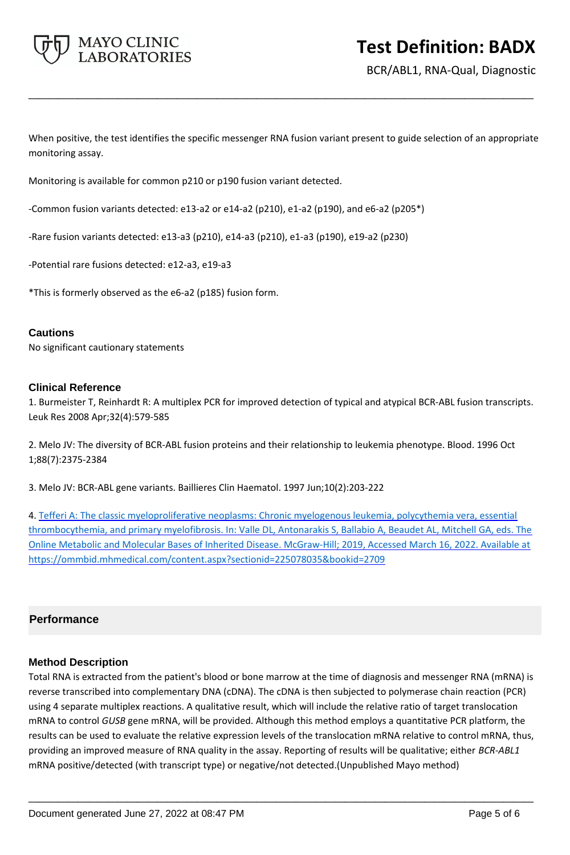

BCR/ABL1, RNA-Qual, Diagnostic

When positive, the test identifies the specific messenger RNA fusion variant present to guide selection of an appropriate monitoring assay.

**\_\_\_\_\_\_\_\_\_\_\_\_\_\_\_\_\_\_\_\_\_\_\_\_\_\_\_\_\_\_\_\_\_\_\_\_\_\_\_\_\_\_\_\_\_\_\_\_\_\_\_**

Monitoring is available for common p210 or p190 fusion variant detected.

-Common fusion variants detected: e13-a2 or e14-a2 (p210), e1-a2 (p190), and e6-a2 (p205\*)

-Rare fusion variants detected: e13-a3 (p210), e14-a3 (p210), e1-a3 (p190), e19-a2 (p230)

-Potential rare fusions detected: e12-a3, e19-a3

\*This is formerly observed as the e6-a2 (p185) fusion form.

#### **Cautions**

No significant cautionary statements

#### **Clinical Reference**

1. Burmeister T, Reinhardt R: A multiplex PCR for improved detection of typical and atypical BCR-ABL fusion transcripts. Leuk Res 2008 Apr;32(4):579-585

2. Melo JV: The diversity of BCR-ABL fusion proteins and their relationship to leukemia phenotype. Blood. 1996 Oct 1;88(7):2375-2384

3. Melo JV: BCR-ABL gene variants. Baillieres Clin Haematol. 1997 Jun;10(2):203-222

4. Tefferi A: The classic myeloproliferative neoplasms: Chronic myelogenous leukemia, polycythemia vera, essential thrombocythemia, and primary myelofibrosis. In: Valle DL, Antonarakis S, Ballabio A, Beaudet AL, Mitchell GA, eds. The Online Metabolic and Molecular Bases of Inherited Disease. McGraw-Hill; 2019, Accessed March 16, 2022. Available at https://ommbid.mhmedical.com/content.aspx?sectionid=225078035&bookid=2709

## **Performance**

## **Method Description**

Total RNA is extracted from the patient's blood or bone marrow at the time of diagnosis and messenger RNA (mRNA) is reverse transcribed into complementary DNA (cDNA). The cDNA is then subjected to polymerase chain reaction (PCR) using 4 separate multiplex reactions. A qualitative result, which will include the relative ratio of target translocation mRNA to control *GUSB* gene mRNA, will be provided. Although this method employs a quantitative PCR platform, the results can be used to evaluate the relative expression levels of the translocation mRNA relative to control mRNA, thus, providing an improved measure of RNA quality in the assay. Reporting of results will be qualitative; either *BCR-ABL1* mRNA positive/detected (with transcript type) or negative/not detected.(Unpublished Mayo method)

**\_\_\_\_\_\_\_\_\_\_\_\_\_\_\_\_\_\_\_\_\_\_\_\_\_\_\_\_\_\_\_\_\_\_\_\_\_\_\_\_\_\_\_\_\_\_\_\_\_\_\_**